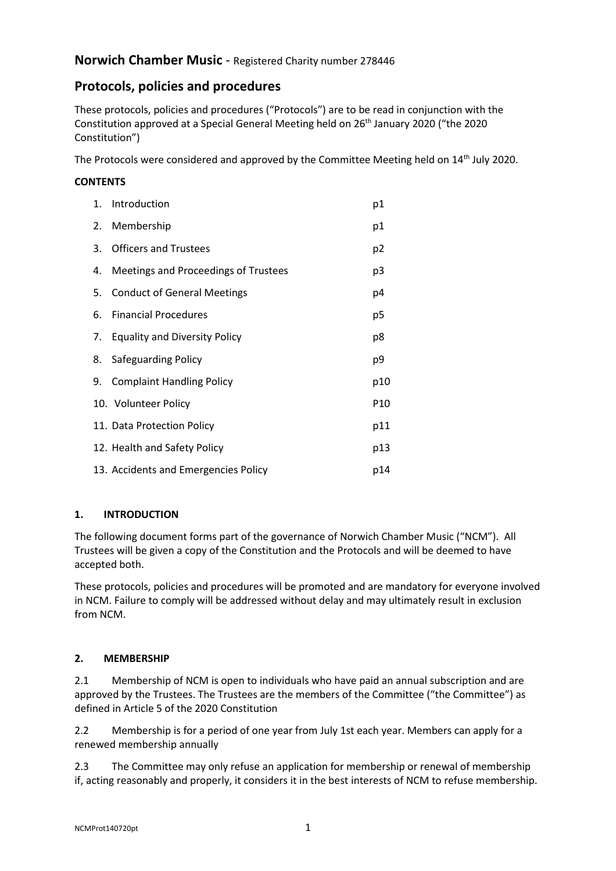# Norwich Chamber Music - Registered Charity number 278446

# Protocols, policies and procedures

 These protocols, policies and procedures ("Protocols") are to be read in conjunction with the Constitution approved at a Special General Meeting held on 26<sup>th</sup> January 2020 ("the 2020 Constitution")

The Protocols were considered and approved by the Committee Meeting held on  $14<sup>th</sup>$  July 2020.

### **CONTENTS**

| 1. | Introduction                         | p1              |
|----|--------------------------------------|-----------------|
| 2. | Membership                           | p1              |
| 3. | <b>Officers and Trustees</b>         | p2              |
| 4. | Meetings and Proceedings of Trustees | p3              |
| 5. | <b>Conduct of General Meetings</b>   | p4              |
| 6. | <b>Financial Procedures</b>          | p5              |
| 7. | <b>Equality and Diversity Policy</b> | p8              |
| 8. | Safeguarding Policy                  | p9              |
| 9. | <b>Complaint Handling Policy</b>     | p10             |
|    | 10. Volunteer Policy                 | P <sub>10</sub> |
|    | 11. Data Protection Policy           | p11             |
|    | 12. Health and Safety Policy         | p13             |
|    | 13. Accidents and Emergencies Policy | p14             |

# 1. INTRODUCTION

 The following document forms part of the governance of Norwich Chamber Music ("NCM"). All Trustees will be given a copy of the Constitution and the Protocols and will be deemed to have accepted both.

 These protocols, policies and procedures will be promoted and are mandatory for everyone involved in NCM. Failure to comply will be addressed without delay and may ultimately result in exclusion from NCM.

#### $2.$ **MEMBERSHIP**

 2.1 Membership of NCM is open to individuals who have paid an annual subscription and are approved by the Trustees. The Trustees are the members of the Committee ("the Committee") as defined in Article 5 of the 2020 Constitution

 2.2 Membership is for a period of one year from July 1st each year. Members can apply for a renewed membership annually

 $2.3$  if, acting reasonably and properly, it considers it in the best interests of NCM to refuse membership. The Committee may only refuse an application for membership or renewal of membership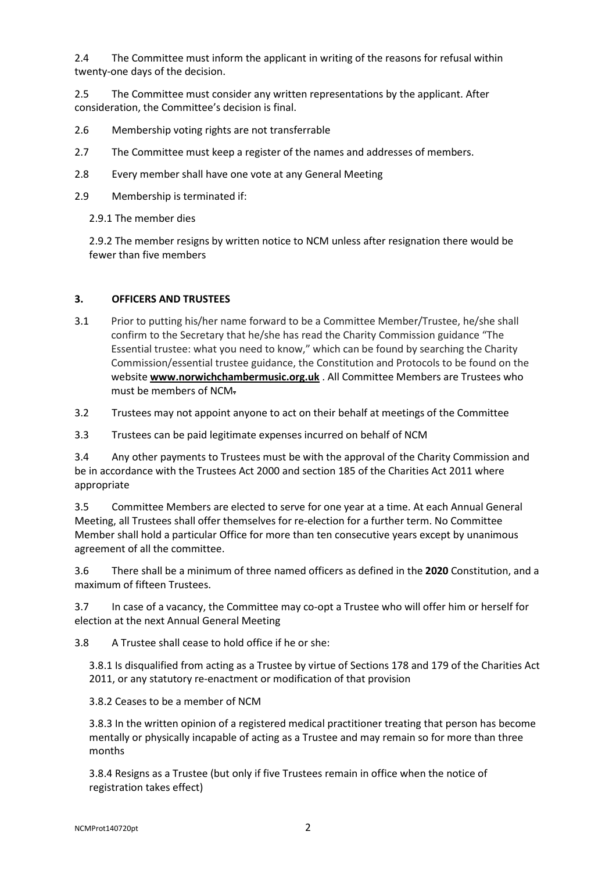$2.4$  twenty-one days of the decision. 2.4 The Committee must inform the applicant in writing of the reasons for refusal within

 $2.5$  consideration, the Committee's decision is final. 2.5 The Committee must consider any written representations by the applicant. After

- 2.6 Membership voting rights are not transferrable
- $2.7$ The Committee must keep a register of the names and addresses of members.
- $2.8$ Every member shall have one vote at any General Meeting
- 2.9 Membership is terminated if:

2.9.1 The member dies

 2.9.2 The member resigns by written notice to NCM unless after resignation there would be fewer than five members

### 3. OFFICERS AND TRUSTEES

 3.1 Prior to putting his/her name forward to be a Committee Member/Trustee, he/she shall confirm to the Secretary that he/she has read the Charity Commission guidance "The Essential trustee: what you need to know," which can be found by searching the Charity Commission/essential trustee guidance, the Constitution and Protocols to be found on the website **<www.norwichchambermusic.org.uk>** . All Committee Members are Trustees who must be members of NCM-

3.2 Trustees may not appoint anyone to act on their behalf at meetings of the Committee

3.3 Trustees can be paid legitimate expenses incurred on behalf of NCM

 $3.4$  be in accordance with the Trustees Act 2000 and section 185 of the Charities Act 2011 where Any other payments to Trustees must be with the approval of the Charity Commission and appropriate

 3.5 Committee Members are elected to serve for one year at a time. At each Annual General Meeting, all Trustees shall offer themselves for re-election for a further term. No Committee Member shall hold a particular Office for more than ten consecutive years except by unanimous agreement of all the committee.

 $3.6$  maximum of fifteen Trustees. There shall be a minimum of three named officers as defined in the 2020 Constitution, and a

 $3.7$  election at the next Annual General Meeting In case of a vacancy, the Committee may co-opt a Trustee who will offer him or herself for

 $3.8$ A Trustee shall cease to hold office if he or she:

 3.8.1 Is disqualified from acting as a Trustee by virtue of Sections 178 and 179 of the Charities Act 2011, or any statutory re-enactment or modification of that provision

3.8.2 Ceases to be a member of NCM

 3.8.3 In the written opinion of a registered medical practitioner treating that person has become mentally or physically incapable of acting as a Trustee and may remain so for more than three months

 3.8.4 Resigns as a Trustee (but only if five Trustees remain in office when the notice of registration takes effect)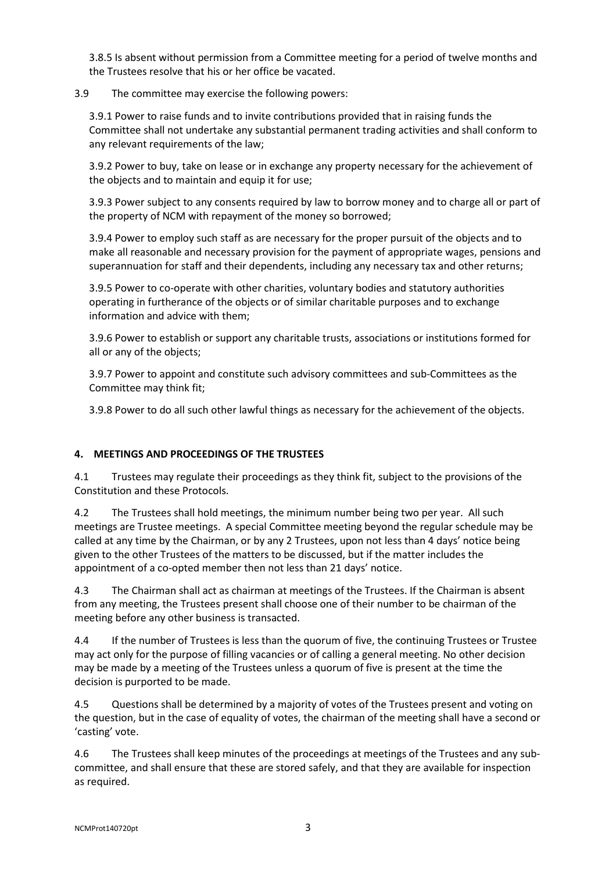3.8.5 Is absent without permission from a Committee meeting for a period of twelve months and the Trustees resolve that his or her office be vacated.

#### $3.9$ The committee may exercise the following powers:

 3.9.1 Power to raise funds and to invite contributions provided that in raising funds the Committee shall not undertake any substantial permanent trading activities and shall conform to any relevant requirements of the law;

 3.9.2 Power to buy, take on lease or in exchange any property necessary for the achievement of the objects and to maintain and equip it for use;

 3.9.3 Power subject to any consents required by law to borrow money and to charge all or part of the property of NCM with repayment of the money so borrowed;

 3.9.4 Power to employ such staff as are necessary for the proper pursuit of the objects and to make all reasonable and necessary provision for the payment of appropriate wages, pensions and superannuation for staff and their dependents, including any necessary tax and other returns;

 3.9.5 Power to co-operate with other charities, voluntary bodies and statutory authorities operating in furtherance of the objects or of similar charitable purposes and to exchange information and advice with them;

 3.9.6 Power to establish or support any charitable trusts, associations or institutions formed for all or any of the objects;

 3.9.7 Power to appoint and constitute such advisory committees and sub-Committees as the Committee may think fit;

3.9.8 Power to do all such other lawful things as necessary for the achievement of the objects.

# 4. MEETINGS AND PROCEEDINGS OF THE TRUSTEES

4.1 Trustees may regulate their proceedings as they think fit, subject to the provisions of the Constitution and these Protocols.

 $4.2$  meetings are Trustee meetings. A special Committee meeting beyond the regular schedule may be called at any time by the Chairman, or by any 2 Trustees, upon not less than 4 days' notice being given to the other Trustees of the matters to be discussed, but if the matter includes the appointment of a co-opted member then not less than 21 days' notice. The Trustees shall hold meetings, the minimum number being two per year. All such

 $4.3$  from any meeting, the Trustees present shall choose one of their number to be chairman of the meeting before any other business is transacted. The Chairman shall act as chairman at meetings of the Trustees. If the Chairman is absent

 $4.4$  may act only for the purpose of filling vacancies or of calling a general meeting. No other decision may be made by a meeting of the Trustees unless a quorum of five is present at the time the decision is purported to be made. 4.4 If the number of Trustees is less than the quorum of five, the continuing Trustees or Trustee

4.5 Questions shall be determined by a majority of votes of the Trustees present and voting on the question, but in the case of equality of votes, the chairman of the meeting shall have a second or 'casting' vote.

 $4.6$  committee, and shall ensure that these are stored safely, and that they are available for inspection as required. The Trustees shall keep minutes of the proceedings at meetings of the Trustees and any sub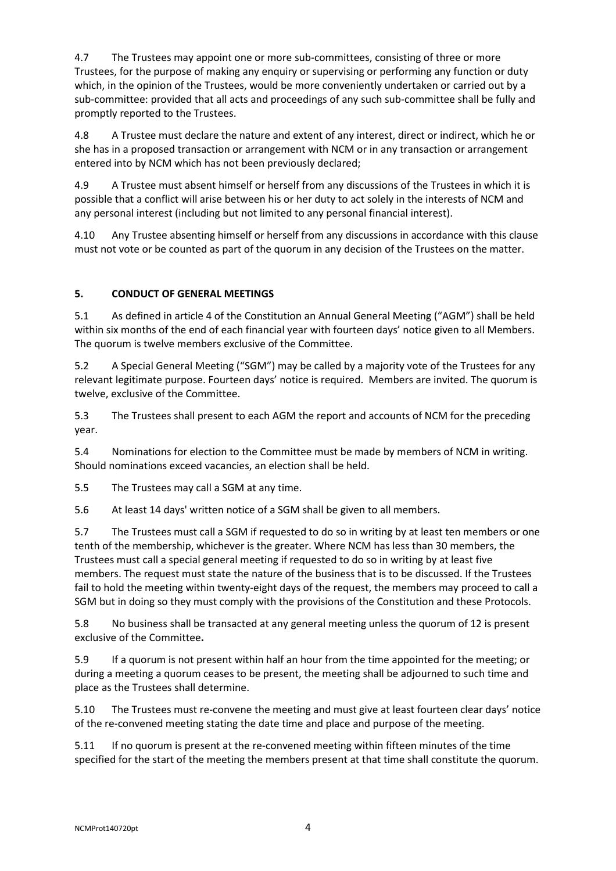4.7 Trustees, for the purpose of making any enquiry or supervising or performing any function or duty which, in the opinion of the Trustees, would be more conveniently undertaken or carried out by a sub-committee: provided that all acts and proceedings of any such sub-committee shall be fully and promptly reported to the Trustees. 4.7 The Trustees may appoint one or more sub-committees, consisting of three or more

4.8 she has in a proposed transaction or arrangement with NCM or in any transaction or arrangement entered into by NCM which has not been previously declared; 4.8 A Trustee must declare the nature and extent of any interest, direct or indirect, which he or

4.9 possible that a conflict will arise between his or her duty to act solely in the interests of NCM and any personal interest (including but not limited to any personal financial interest). A Trustee must absent himself or herself from any discussions of the Trustees in which it is

 $4.10$  must not vote or be counted as part of the quorum in any decision of the Trustees on the matter. 4.10 Any Trustee absenting himself or herself from any discussions in accordance with this clause

# 5. CONDUCT OF GENERAL MEETINGS

 $5.1$  within six months of the end of each financial year with fourteen days' notice given to all Members. The quorum is twelve members exclusive of the Committee. 5.1 As defined in article 4 of the Constitution an Annual General Meeting ("AGM") shall be held

 $5.2$  relevant legitimate purpose. Fourteen days' notice is required. Members are invited. The quorum is twelve, exclusive of the Committee. 5.2 A Special General Meeting ("SGM") may be called by a majority vote of the Trustees for any

 $5.3$ year. The Trustees shall present to each AGM the report and accounts of NCM for the preceding

year.<br>5.4 Nominations for election to the Committee must be made by members of NCM in writing. Should nominations exceed vacancies, an election shall be held.

 $5.5$ The Trustees may call a SGM at any time.

 $5.6$ At least 14 days' written notice of a SGM shall be given to all members.

5.7 tenth of the membership, whichever is the greater. Where NCM has less than 30 members, the Trustees must call a special general meeting if requested to do so in writing by at least five members. The request must state the nature of the business that is to be discussed. If the Trustees fail to hold the meeting within twenty-eight days of the request, the members may proceed to call a SGM but in doing so they must comply with the provisions of the Constitution and these Protocols. The Trustees must call a SGM if requested to do so in writing by at least ten members or one

5.8 exclusive of the Committee. No business shall be transacted at any general meeting unless the quorum of 12 is present

5.9 during a meeting a quorum ceases to be present, the meeting shall be adjourned to such time and place as the Trustees shall determine. If a quorum is not present within half an hour from the time appointed for the meeting; or

 $5.10$  of the re-convened meeting stating the date time and place and purpose of the meeting. The Trustees must re-convene the meeting and must give at least fourteen clear days' notice

 $5.11$  specified for the start of the meeting the members present at that time shall constitute the quorum. If no quorum is present at the re-convened meeting within fifteen minutes of the time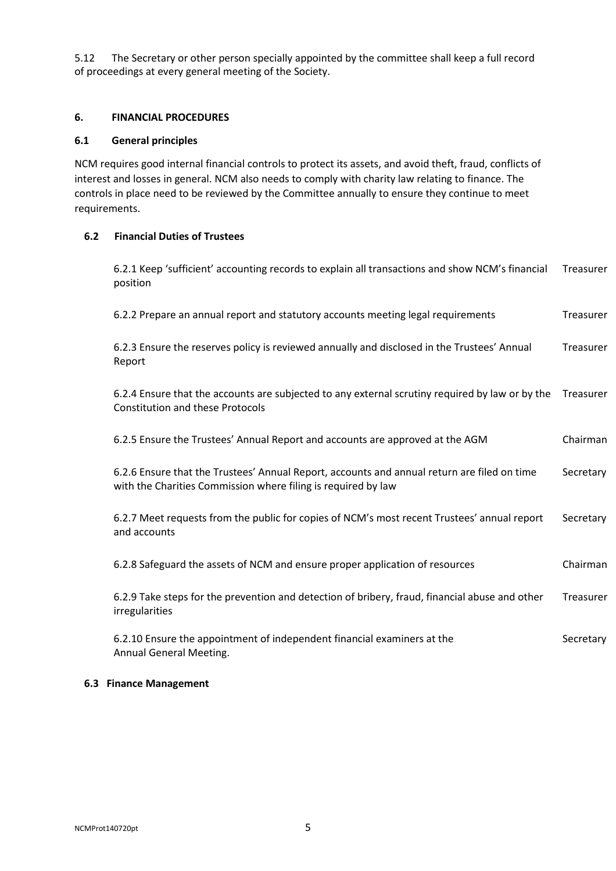$5.12$  of proceedings at every general meeting of the Society. The Secretary or other person specially appointed by the committee shall keep a full record

### 6. FINANCIAL PROCEDURES

### 6.1 General principles

 NCM requires good internal financial controls to protect its assets, and avoid theft, fraud, conflicts of interest and losses in general. NCM also needs to comply with charity law relating to finance. The controls in place need to be reviewed by the Committee annually to ensure they continue to meet requirements.

#### $6.2$ 6.2 Financial Duties of Trustees

position 6.2.1 Keep 'sufficient' accounting records to explain all transactions and show NCM's financial Treasurer

6.2.2 Prepare an annual report and statutory accounts meeting legal requirements Treasurer

Report 6.2.3 Ensure the reserves policy is reviewed annually and disclosed in the Trustees' Annual Treasurer

 Constitution and these Protocols 6.2.4 Ensure that the accounts are subjected to any external scrutiny required by law or by the Treasurer

| 6.2.5 Ensure the Trustees' Annual Report and accounts are approved at the AGM                                                                                | Chairman  |
|--------------------------------------------------------------------------------------------------------------------------------------------------------------|-----------|
| 6.2.6 Ensure that the Trustees' Annual Report, accounts and annual return are filed on time<br>with the Charities Commission where filing is required by law | Secretary |

 and accounts 6.2.7 Meet requests from the public for copies of NCM's most recent Trustees' annual report Secretary

6.2.8 Safeguard the assets of NCM and ensure proper application of resources Chairman

irregularities 6.2.9 Take steps for the prevention and detection of bribery, fraud, financial abuse and other Treasurer

irregularities<br>6.2.10 Ensure the appointment of independent financial examiners at the Secretary Annual General Meeting.

### 6.3 Finance Management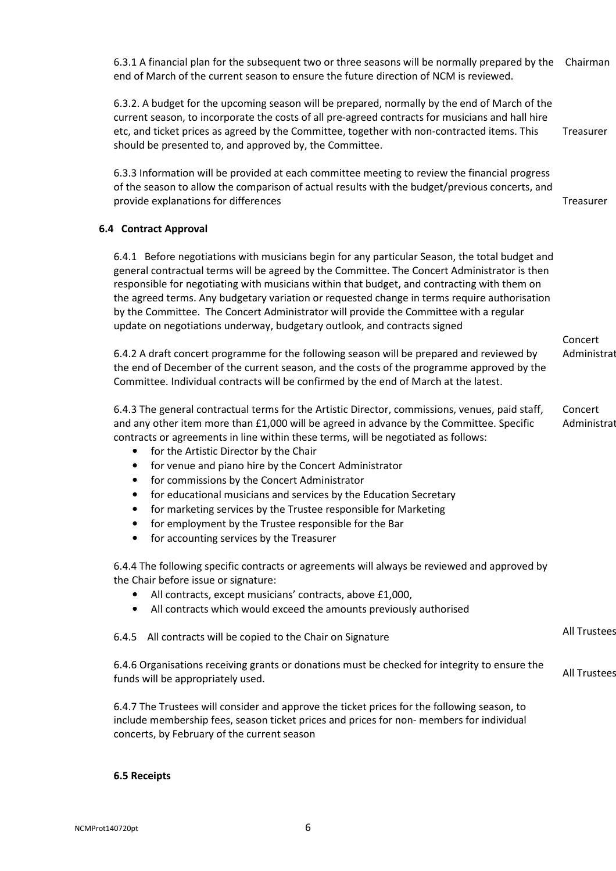end of March of the current season to ensure the future direction of NCM is reviewed. 6.3.1 A financial plan for the subsequent two or three seasons will be normally prepared by the Chairman

 6.3.2. A budget for the upcoming season will be prepared, normally by the end of March of the current season, to incorporate the costs of all pre-agreed contracts for musicians and hall hire etc, and ticket prices as agreed by the Committee, together with non-contracted items. This should be presented to, and approved by, the Committee. Treasurer

 6.3.3 Information will be provided at each committee meeting to review the financial progress of the season to allow the comparison of actual results with the budget/previous concerts, and provide explanations for differences Treasurer

### 6.4 Contract Approval

 6.4.1 Before negotiations with musicians begin for any particular Season, the total budget and general contractual terms will be agreed by the Committee. The Concert Administrator is then responsible for negotiating with musicians within that budget, and contracting with them on the agreed terms. Any budgetary variation or requested change in terms require authorisation by the Committee. The Concert Administrator will provide the Committee with a regular update on negotiations underway, budgetary outlook, and contracts signed

 6.4.2 A draft concert programme for the following season will be prepared and reviewed by the end of December of the current season, and the costs of the programme approved by the Committee. Individual contracts will be confirmed by the end of March at the latest. Administrat

 6.4.3 The general contractual terms for the Artistic Director, commissions, venues, paid staff, and any other item more than £1,000 will be agreed in advance by the Committee. Specific contracts or agreements in line within these terms, will be negotiated as follows: Concert Administrat

Concert

All Trustees

- for the Artistic Director by the Chair
- for venue and piano hire by the Concert Administrator
- for commissions by the Concert Administrator
- for educational musicians and services by the Education Secretary
- for marketing services by the Trustee responsible for Marketing
- for employment by the Trustee responsible for the Bar
- for accounting services by the Treasurer

 6.4.4 The following specific contracts or agreements will always be reviewed and approved by the Chair before issue or signature:

- All contracts, except musicians' contracts, above £1,000,
- All contracts which would exceed the amounts previously authorised

6.4.5 All contracts will be copied to the Chair on Signature

 6.4.6 Organisations receiving grants or donations must be checked for integrity to ensure the funds will be appropriately used. All Trustees

 6.4.7 The Trustees will consider and approve the ticket prices for the following season, to include membership fees, season ticket prices and prices for non- members for individual concerts, by February of the current season

### 6.5 Receipts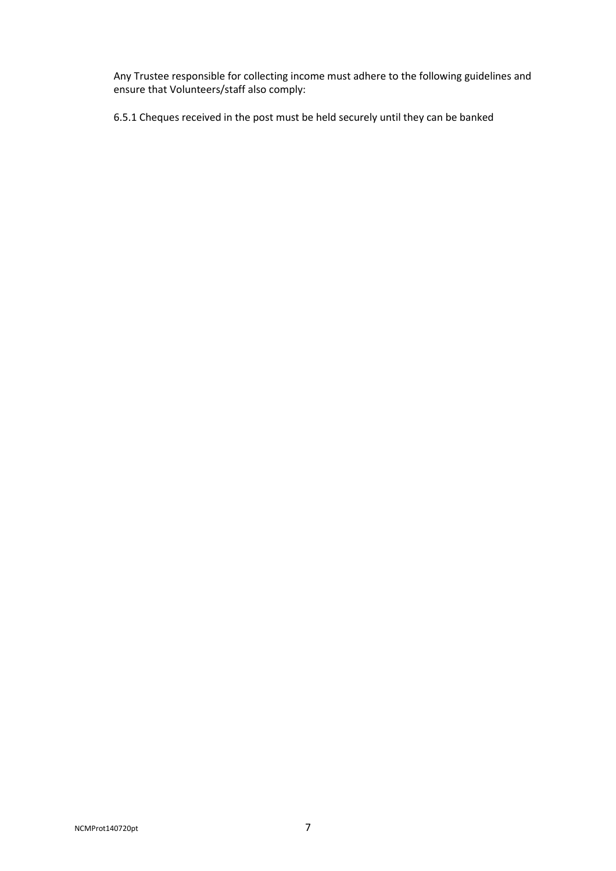Any Trustee responsible for collecting income must adhere to the following guidelines and ensure that Volunteers/staff also comply:

6.5.1 Cheques received in the post must be held securely until they can be banked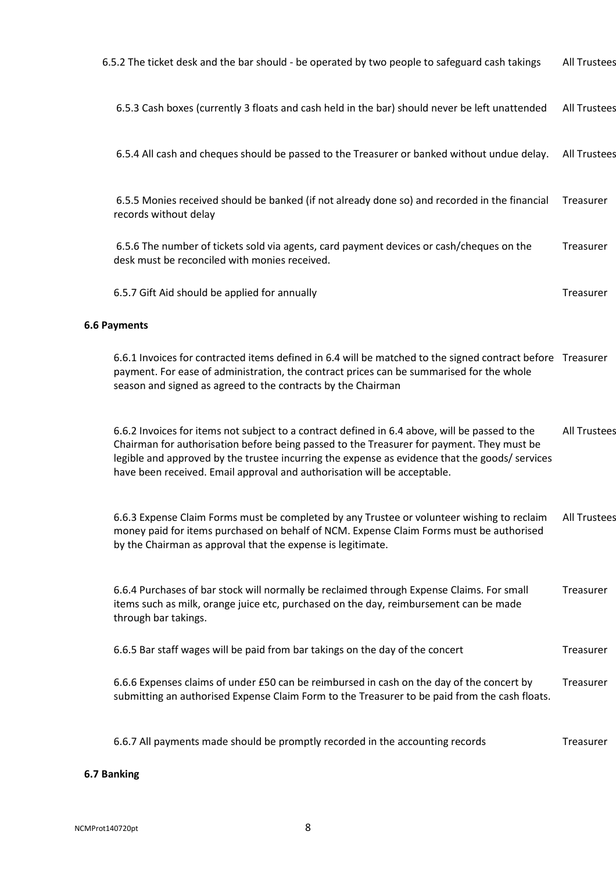| 6.5.2 The ticket desk and the bar should - be operated by two people to safeguard cash takings                                                                                                                                                                                                                                                                            | <b>All Trustees</b> |
|---------------------------------------------------------------------------------------------------------------------------------------------------------------------------------------------------------------------------------------------------------------------------------------------------------------------------------------------------------------------------|---------------------|
| 6.5.3 Cash boxes (currently 3 floats and cash held in the bar) should never be left unattended                                                                                                                                                                                                                                                                            | <b>All Trustees</b> |
| 6.5.4 All cash and cheques should be passed to the Treasurer or banked without undue delay.                                                                                                                                                                                                                                                                               | <b>All Trustees</b> |
| 6.5.5 Monies received should be banked (if not already done so) and recorded in the financial<br>records without delay                                                                                                                                                                                                                                                    | Treasurer           |
| 6.5.6 The number of tickets sold via agents, card payment devices or cash/cheques on the<br>desk must be reconciled with monies received.                                                                                                                                                                                                                                 | Treasurer           |
| 6.5.7 Gift Aid should be applied for annually                                                                                                                                                                                                                                                                                                                             | Treasurer           |
| <b>6.6 Payments</b>                                                                                                                                                                                                                                                                                                                                                       |                     |
| 6.6.1 Invoices for contracted items defined in 6.4 will be matched to the signed contract before Treasurer<br>payment. For ease of administration, the contract prices can be summarised for the whole<br>season and signed as agreed to the contracts by the Chairman                                                                                                    |                     |
| 6.6.2 Invoices for items not subject to a contract defined in 6.4 above, will be passed to the<br>Chairman for authorisation before being passed to the Treasurer for payment. They must be<br>legible and approved by the trustee incurring the expense as evidence that the goods/ services<br>have been received. Email approval and authorisation will be acceptable. | <b>All Trustees</b> |
| 6.6.3 Expense Claim Forms must be completed by any Trustee or volunteer wishing to reclaim<br>money paid for items purchased on behalf of NCM. Expense Claim Forms must be authorised<br>by the Chairman as approval that the expense is legitimate.                                                                                                                      | <b>All Trustees</b> |
| 6.6.4 Purchases of bar stock will normally be reclaimed through Expense Claims. For small<br>items such as milk, orange juice etc, purchased on the day, reimbursement can be made<br>through bar takings.                                                                                                                                                                | Treasurer           |
| 6.6.5 Bar staff wages will be paid from bar takings on the day of the concert                                                                                                                                                                                                                                                                                             | Treasurer           |
| 6.6.6 Expenses claims of under £50 can be reimbursed in cash on the day of the concert by<br>submitting an authorised Expense Claim Form to the Treasurer to be paid from the cash floats.                                                                                                                                                                                | Treasurer           |
| 6.6.7 All payments made should be promptly recorded in the accounting records                                                                                                                                                                                                                                                                                             | Treasurer           |

# 6.7 Banking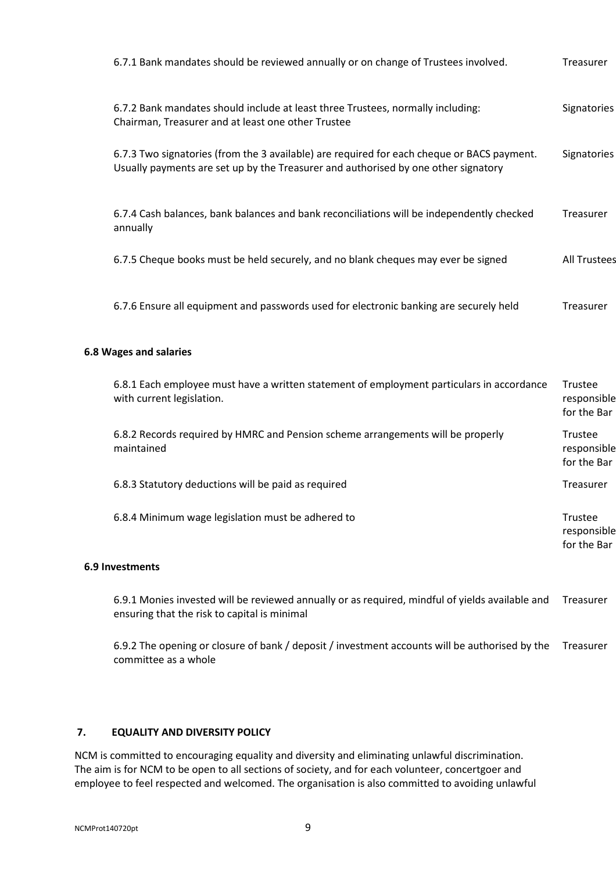| 6.7.1 Bank mandates should be reviewed annually or on change of Trustees involved.                                                                                               | Treasurer           |
|----------------------------------------------------------------------------------------------------------------------------------------------------------------------------------|---------------------|
| 6.7.2 Bank mandates should include at least three Trustees, normally including:<br>Chairman, Treasurer and at least one other Trustee                                            | Signatories         |
| 6.7.3 Two signatories (from the 3 available) are required for each cheque or BACS payment.<br>Usually payments are set up by the Treasurer and authorised by one other signatory | Signatories         |
| 6.7.4 Cash balances, bank balances and bank reconciliations will be independently checked<br>annually                                                                            | Treasurer           |
| 6.7.5 Cheque books must be held securely, and no blank cheques may ever be signed                                                                                                | <b>All Trustees</b> |
| 6.7.6 Ensure all equipment and passwords used for electronic banking are securely held                                                                                           | Treasurer           |

### 6.8 Wages and salaries

| 6.8.1 Each employee must have a written statement of employment particulars in accordance<br>with current legislation. | Trustee<br>responsible<br>for the Bar |
|------------------------------------------------------------------------------------------------------------------------|---------------------------------------|
| 6.8.2 Records required by HMRC and Pension scheme arrangements will be properly<br>maintained                          | Trustee<br>responsible<br>for the Bar |
| 6.8.3 Statutory deductions will be paid as required                                                                    | Treasurer                             |
| 6.8.4 Minimum wage legislation must be adhered to                                                                      | Trustee<br>responsible<br>for the Bar |

# 6.9 Investments

 ensuring that the risk to capital is minimal 6.9.1 Monies invested will be reviewed annually or as required, mindful of yields available and Treasurer

 committee as a whole 6.9.2 The opening or closure of bank / deposit / investment accounts will be authorised by the Treasurer

#### 7. **EQUALITY AND DIVERSITY POLICY**

 NCM is committed to encouraging equality and diversity and eliminating unlawful discrimination. The aim is for NCM to be open to all sections of society, and for each volunteer, concertgoer and employee to feel respected and welcomed. The organisation is also committed to avoiding unlawful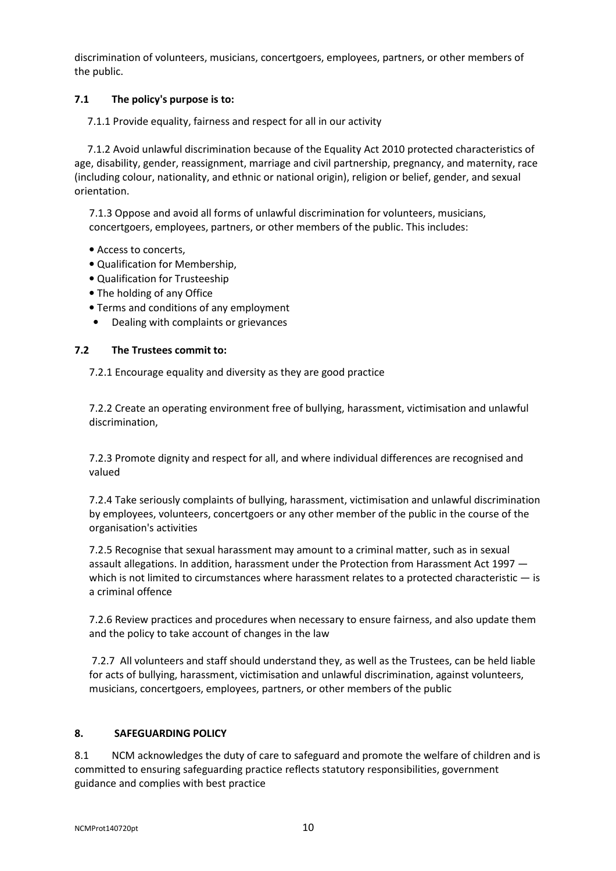discrimination of volunteers, musicians, concertgoers, employees, partners, or other members of the public.

#### $7.1$ The policy's purpose is to:

7.1.1 Provide equality, fairness and respect for all in our activity

 age, disability, gender, reassignment, marriage and civil partnership, pregnancy, and maternity, race (including colour, nationality, and ethnic or national origin), religion or belief, gender, and sexual 7.1.2 Avoid unlawful discrimination because of the Equality Act 2010 protected characteristics of orientation.

 7.1.3 Oppose and avoid all forms of unlawful discrimination for volunteers, musicians, concertgoers, employees, partners, or other members of the public. This includes:

- Access to concerts,
- Qualification for Membership,
- Qualification for Trusteeship
- The holding of any Office
- Terms and conditions of any employment
- Dealing with complaints or grievances

#### $7.2$ The Trustees commit to:

7.2.1 Encourage equality and diversity as they are good practice

 7.2.2 Create an operating environment free of bullying, harassment, victimisation and unlawful discrimination,

 7.2.3 Promote dignity and respect for all, and where individual differences are recognised and valued

 7.2.4 Take seriously complaints of bullying, harassment, victimisation and unlawful discrimination by employees, volunteers, concertgoers or any other member of the public in the course of the organisation's activities

 7.2.5 Recognise that sexual harassment may amount to a criminal matter, such as in sexual assault allegations. In addition, harassment under the Protection from Harassment Act 1997 which is not limited to circumstances where harassment relates to a protected characteristic - is a criminal offence

 7.2.6 Review practices and procedures when necessary to ensure fairness, and also update them and the policy to take account of changes in the law

 7.2.7 All volunteers and staff should understand they, as well as the Trustees, can be held liable for acts of bullying, harassment, victimisation and unlawful discrimination, against volunteers, musicians, concertgoers, employees, partners, or other members of the public

#### 8. 8. SAFEGUARDING POLICY

 $8.1$  committed to ensuring safeguarding practice reflects statutory responsibilities, government guidance and complies with best practice NCM acknowledges the duty of care to safeguard and promote the welfare of children and is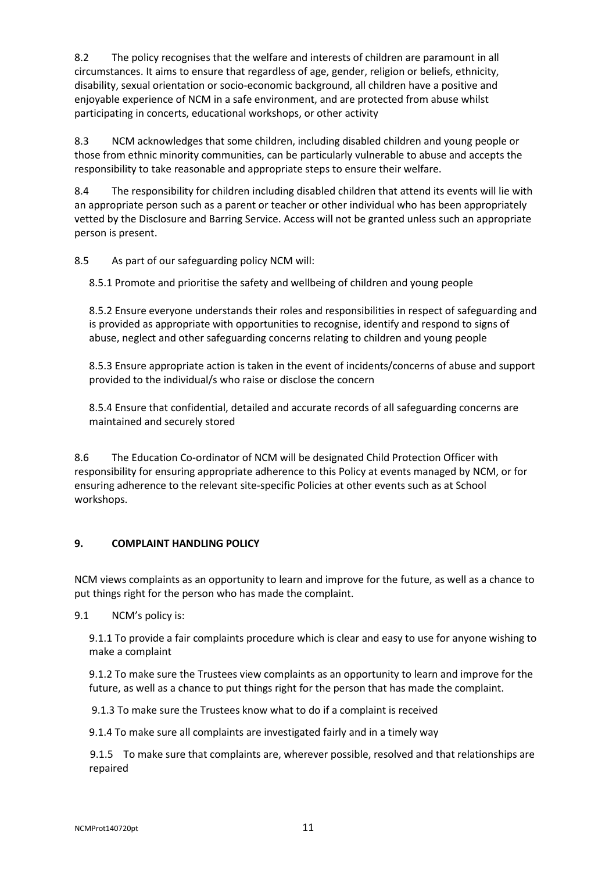$8.2$  circumstances. It aims to ensure that regardless of age, gender, religion or beliefs, ethnicity, disability, sexual orientation or socio-economic background, all children have a positive and enjoyable experience of NCM in a safe environment, and are protected from abuse whilst participating in concerts, educational workshops, or other activity The policy recognises that the welfare and interests of children are paramount in all

8.3 those from ethnic minority communities, can be particularly vulnerable to abuse and accepts the responsibility to take reasonable and appropriate steps to ensure their welfare. NCM acknowledges that some children, including disabled children and young people or

8.4 an appropriate person such as a parent or teacher or other individual who has been appropriately vetted by the Disclosure and Barring Service. Access will not be granted unless such an appropriate person is present. The responsibility for children including disabled children that attend its events will lie with

8.5 As part of our safeguarding policy NCM will:

8.5.1 Promote and prioritise the safety and wellbeing of children and young people

 8.5.2 Ensure everyone understands their roles and responsibilities in respect of safeguarding and is provided as appropriate with opportunities to recognise, identify and respond to signs of abuse, neglect and other safeguarding concerns relating to children and young people

 8.5.3 Ensure appropriate action is taken in the event of incidents/concerns of abuse and support provided to the individual/s who raise or disclose the concern

 8.5.4 Ensure that confidential, detailed and accurate records of all safeguarding concerns are maintained and securely stored

8.6 responsibility for ensuring appropriate adherence to this Policy at events managed by NCM, or for ensuring adherence to the relevant site-specific Policies at other events such as at School The Education Co-ordinator of NCM will be designated Child Protection Officer with workshops.

# 9. COMPLAINT HANDLING POLICY

 NCM views complaints as an opportunity to learn and improve for the future, as well as a chance to put things right for the person who has made the complaint.

 $9.1$ NCM's policy is:

> 9.1.1 To provide a fair complaints procedure which is clear and easy to use for anyone wishing to make a complaint

> 9.1.2 To make sure the Trustees view complaints as an opportunity to learn and improve for the future, as well as a chance to put things right for the person that has made the complaint.

9.1.3 To make sure the Trustees know what to do if a complaint is received

9.1.4 To make sure all complaints are investigated fairly and in a timely way

 9.1.5 To make sure that complaints are, wherever possible, resolved and that relationships are repaired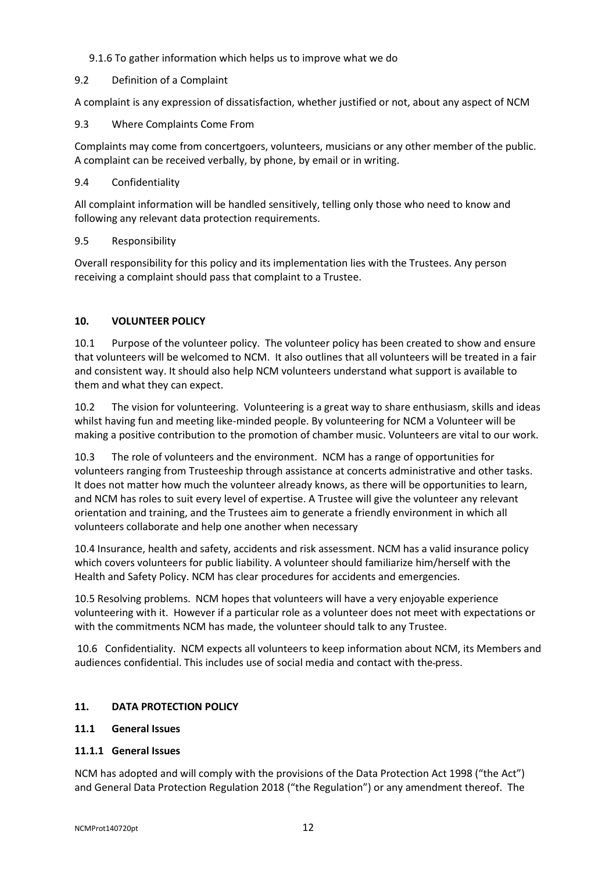### 9.1.6 To gather information which helps us to improve what we do

### 9.2 Definition of a Complaint

A complaint is any expression of dissatisfaction, whether justified or not, about any aspect of NCM

#### $9.3$ 9.3 Where Complaints Come From

 Complaints may come from concertgoers, volunteers, musicians or any other member of the public. A complaint can be received verbally, by phone, by email or in writing.

### 9.4 Confidentiality

 All complaint information will be handled sensitively, telling only those who need to know and following any relevant data protection requirements.

### 9.5 Responsibility

 Overall responsibility for this policy and its implementation lies with the Trustees. Any person receiving a complaint should pass that complaint to a Trustee.

# 10. VOLUNTEER POLICY

 $10.1$  that volunteers will be welcomed to NCM. It also outlines that all volunteers will be treated in a fair and consistent way. It should also help NCM volunteers understand what support is available to them and what they can expect. Purpose of the volunteer policy. The volunteer policy has been created to show and ensure

 $10.2$  whilst having fun and meeting like-minded people. By volunteering for NCM a Volunteer will be making a positive contribution to the promotion of chamber music. Volunteers are vital to our work. The vision for volunteering. Volunteering is a great way to share enthusiasm, skills and ideas

 $10.3$  volunteers ranging from Trusteeship through assistance at concerts administrative and other tasks. It does not matter how much the volunteer already knows, as there will be opportunities to learn, and NCM has roles to suit every level of expertise. A Trustee will give the volunteer any relevant orientation and training, and the Trustees aim to generate a friendly environment in which all volunteers collaborate and help one another when necessary The role of volunteers and the environment. NCM has a range of opportunities for

 10.4 Insurance, health and safety, accidents and risk assessment. NCM has a valid insurance policy which covers volunteers for public liability. A volunteer should familiarize him/herself with the Health and Safety Policy. NCM has clear procedures for accidents and emergencies.

 10.5 Resolving problems. NCM hopes that volunteers will have a very enjoyable experience volunteering with it. However if a particular role as a volunteer does not meet with expectations or with the commitments NCM has made, the volunteer should talk to any Trustee.

 10.6 Confidentiality. NCM expects all volunteers to keep information about NCM, its Members and audiences confidential. This includes use of social media and contact with the-press.

#### $11.$ DATA PROTECTION POLICY

#### $11.1$ **General Issues**

### 11.1.1 General Issues

 NCM has adopted and will comply with the provisions of the Data Protection Act 1998 ("the Act") and General Data Protection Regulation 2018 ("the Regulation") or any amendment thereof. The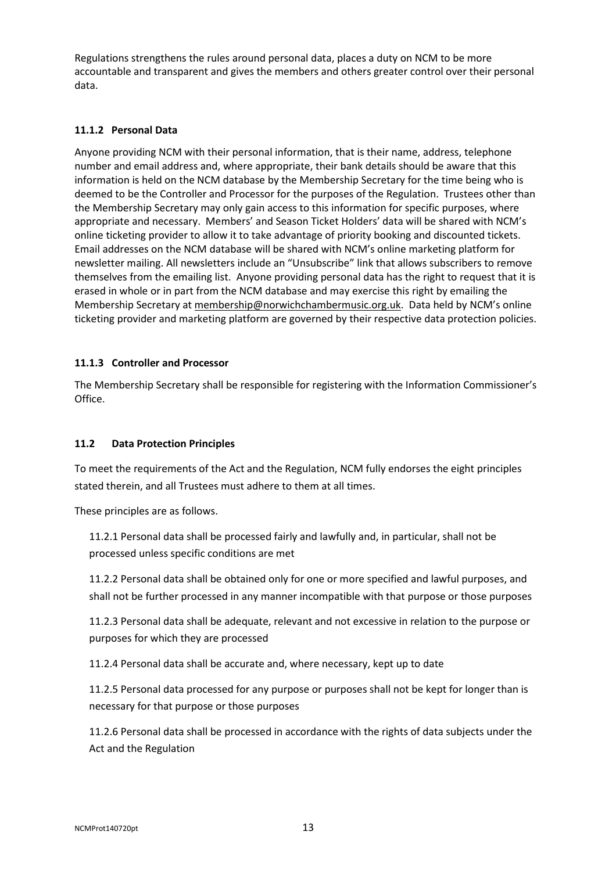Regulations strengthens the rules around personal data, places a duty on NCM to be more accountable and transparent and gives the members and others greater control over their personal data.

## 11.1.2 Personal Data

 Anyone providing NCM with their personal information, that is their name, address, telephone number and email address and, where appropriate, their bank details should be aware that this information is held on the NCM database by the Membership Secretary for the time being who is deemed to be the Controller and Processor for the purposes of the Regulation. Trustees other than the Membership Secretary may only gain access to this information for specific purposes, where appropriate and necessary. Members' and Season Ticket Holders' data will be shared with NCM's online ticketing provider to allow it to take advantage of priority booking and discounted tickets. Email addresses on the NCM database will be shared with NCM's online marketing platform for newsletter mailing. All newsletters include an "Unsubscribe" link that allows subscribers to remove themselves from the emailing list. Anyone providing personal data has the right to request that it is erased in whole or in part from the NCM database and may exercise this right by emailing the Membership Secretary at membership@norwichchambermusic.org.uk. Data held by NCM's online ticketing provider and marketing platform are governed by their respective data protection policies.

### 11.1.3 Controller and Processor

 The Membership Secretary shall be responsible for registering with the Information Commissioner's Office.

#### $11.2$ Data Protection Principles

 To meet the requirements of the Act and the Regulation, NCM fully endorses the eight principles stated therein, and all Trustees must adhere to them at all times.

These principles are as follows.

 11.2.1 Personal data shall be processed fairly and lawfully and, in particular, shall not be processed unless specific conditions are met

 11.2.2 Personal data shall be obtained only for one or more specified and lawful purposes, and shall not be further processed in any manner incompatible with that purpose or those purposes

 11.2.3 Personal data shall be adequate, relevant and not excessive in relation to the purpose or purposes for which they are processed

11.2.4 Personal data shall be accurate and, where necessary, kept up to date

 11.2.5 Personal data processed for any purpose or purposes shall not be kept for longer than is necessary for that purpose or those purposes

 11.2.6 Personal data shall be processed in accordance with the rights of data subjects under the Act and the Regulation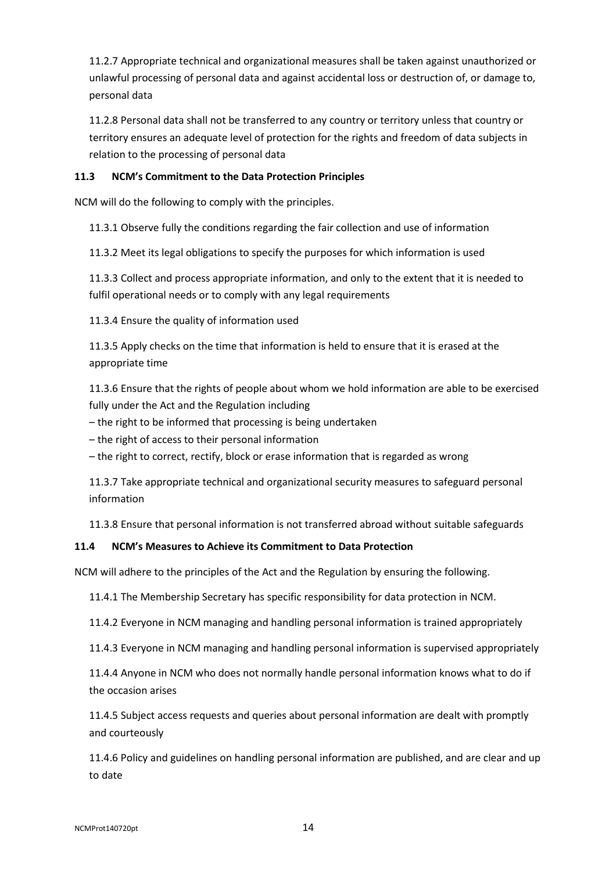11.2.7 Appropriate technical and organizational measures shall be taken against unauthorized or unlawful processing of personal data and against accidental loss or destruction of, or damage to, personal data

 11.2.8 Personal data shall not be transferred to any country or territory unless that country or territory ensures an adequate level of protection for the rights and freedom of data subjects in relation to the processing of personal data

#### 11.3 NCM's Commitment to the Data Protection Principles

NCM will do the following to comply with the principles.

11.3.1 Observe fully the conditions regarding the fair collection and use of information

11.3.2 Meet its legal obligations to specify the purposes for which information is used

 11.3.3 Collect and process appropriate information, and only to the extent that it is needed to fulfil operational needs or to comply with any legal requirements

11.3.4 Ensure the quality of information used

 11.3.5 Apply checks on the time that information is held to ensure that it is erased at the appropriate time

 11.3.6 Ensure that the rights of people about whom we hold information are able to be exercised fully under the Act and the Regulation including

– the right to be informed that processing is being undertaken

– the right of access to their personal information

– the right to correct, rectify, block or erase information that is regarded as wrong

 11.3.7 Take appropriate technical and organizational security measures to safeguard personal information

11.3.8 Ensure that personal information is not transferred abroad without suitable safeguards

#### 11.4 11.4 NCM's Measures to Achieve its Commitment to Data Protection

NCM will adhere to the principles of the Act and the Regulation by ensuring the following.

11.4.1 The Membership Secretary has specific responsibility for data protection in NCM.

11.4.2 Everyone in NCM managing and handling personal information is trained appropriately

11.4.3 Everyone in NCM managing and handling personal information is supervised appropriately

 11.4.4 Anyone in NCM who does not normally handle personal information knows what to do if the occasion arises

 11.4.5 Subject access requests and queries about personal information are dealt with promptly and courteously

 11.4.6 Policy and guidelines on handling personal information are published, and are clear and up to date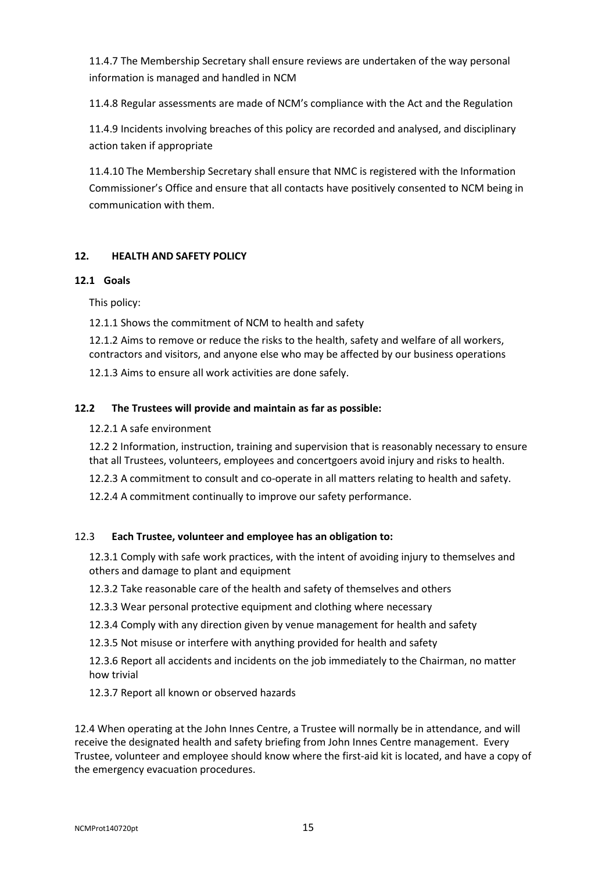11.4.7 The Membership Secretary shall ensure reviews are undertaken of the way personal information is managed and handled in NCM

11.4.8 Regular assessments are made of NCM's compliance with the Act and the Regulation

 11.4.9 Incidents involving breaches of this policy are recorded and analysed, and disciplinary action taken if appropriate

 11.4.10 The Membership Secretary shall ensure that NMC is registered with the Information Commissioner's Office and ensure that all contacts have positively consented to NCM being in communication with them.

### $12.$ **HEALTH AND SAFETY POLICY**

### 12.1 Goals

This policy:

12.1.1 Shows the commitment of NCM to health and safety

 12.1.2 Aims to remove or reduce the risks to the health, safety and welfare of all workers, contractors and visitors, and anyone else who may be affected by our business operations

12.1.3 Aims to ensure all work activities are done safely.

#### $12.2$ The Trustees will provide and maintain as far as possible:

# 12.2.1 A safe environment

 12.2 2 Information, instruction, training and supervision that is reasonably necessary to ensure that all Trustees, volunteers, employees and concertgoers avoid injury and risks to health.

- 12.2.3 A commitment to consult and co-operate in all matters relating to health and safety.
- 12.2.4 A commitment continually to improve our safety performance.

#### $12.3$ Each Trustee, volunteer and employee has an obligation to:

 12.3.1 Comply with safe work practices, with the intent of avoiding injury to themselves and others and damage to plant and equipment

- 12.3.2 Take reasonable care of the health and safety of themselves and others
- 12.3.3 Wear personal protective equipment and clothing where necessary
- 12.3.4 Comply with any direction given by venue management for health and safety
- 12.3.5 Not misuse or interfere with anything provided for health and safety

 12.3.6 Report all accidents and incidents on the job immediately to the Chairman, no matter how trivial

12.3.7 Report all known or observed hazards

 12.4 When operating at the John Innes Centre, a Trustee will normally be in attendance, and will receive the designated health and safety briefing from John Innes Centre management. Every Trustee, volunteer and employee should know where the first-aid kit is located, and have a copy of the emergency evacuation procedures.